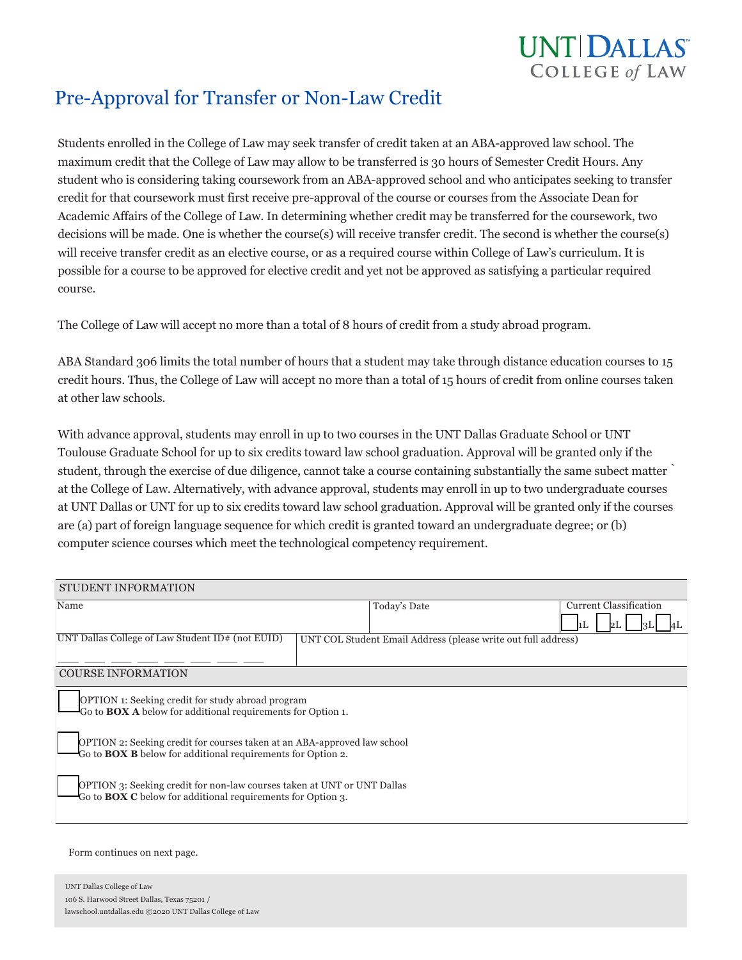

# Pre-Approval for Transfer or Non-Law Credit

Students enrolled in the College of Law may seek transfer of credit taken at an ABA-approved law school. The maximum credit that the College of Law may allow to be transferred is 30 hours of Semester Credit Hours. Any student who is considering taking coursework from an ABA-approved school and who anticipates seeking to transfer credit for that coursework must first receive pre-approval of the course or courses from the Associate Dean for Academic Affairs of the College of Law. In determining whether credit may be transferred for the coursework, two decisions will be made. One is whether the course(s) will receive transfer credit. The second is whether the course(s) will receive transfer credit as an elective course, or as a required course within College of Law's curriculum. It is possible for a course to be approved for elective credit and yet not be approved as satisfying a particular required course.

The College of Law will accept no more than a total of 8 hours of credit from a study abroad program.

ABA Standard 306 limits the total number of hours that a student may take through distance education courses to 15 credit hours. Thus, the College of Law will accept no more than a total of 15 hours of credit from online courses taken at other law schools.

With advance approval, students may enroll in up to two courses in the UNT Dallas Graduate School or UNT Toulouse Graduate School for up to six credits toward law school graduation. Approval will be granted only if the student, through the exercise of due diligence, cannot take a course containing substantially the same subect matter ̀ at the College of Law. Alternatively, with advance approval, students may enroll in up to two undergraduate courses at UNT Dallas or UNT for up to six credits toward law school graduation. Approval will be granted only if the courses are (a) part of foreign language sequence for which credit is granted toward an undergraduate degree; or (b) computer science courses which meet the technological competency requirement.

| <b>STUDENT INFORMATION</b>                                                                                                                            |                                                               |                               |  |  |
|-------------------------------------------------------------------------------------------------------------------------------------------------------|---------------------------------------------------------------|-------------------------------|--|--|
| Name                                                                                                                                                  | Today's Date                                                  | <b>Current Classification</b> |  |  |
| UNT Dallas College of Law Student ID# (not EUID)                                                                                                      | UNT COL Student Email Address (please write out full address) |                               |  |  |
| <b>COURSE INFORMATION</b>                                                                                                                             |                                                               |                               |  |  |
| <b>OPTION</b> 1: Seeking credit for study abroad program<br>Go to <b>BOX</b> A below for additional requirements for Option 1.                        |                                                               |                               |  |  |
| <b>OPTION 2: Seeking credit for courses taken at an ABA-approved law school</b><br>Go to <b>BOX B</b> below for additional requirements for Option 2. |                                                               |                               |  |  |
| <b>OPTION</b> 3: Seeking credit for non-law courses taken at UNT or UNT Dallas<br>Go to <b>BOX C</b> below for additional requirements for Option 3.  |                                                               |                               |  |  |
|                                                                                                                                                       |                                                               |                               |  |  |

Form continues on next page.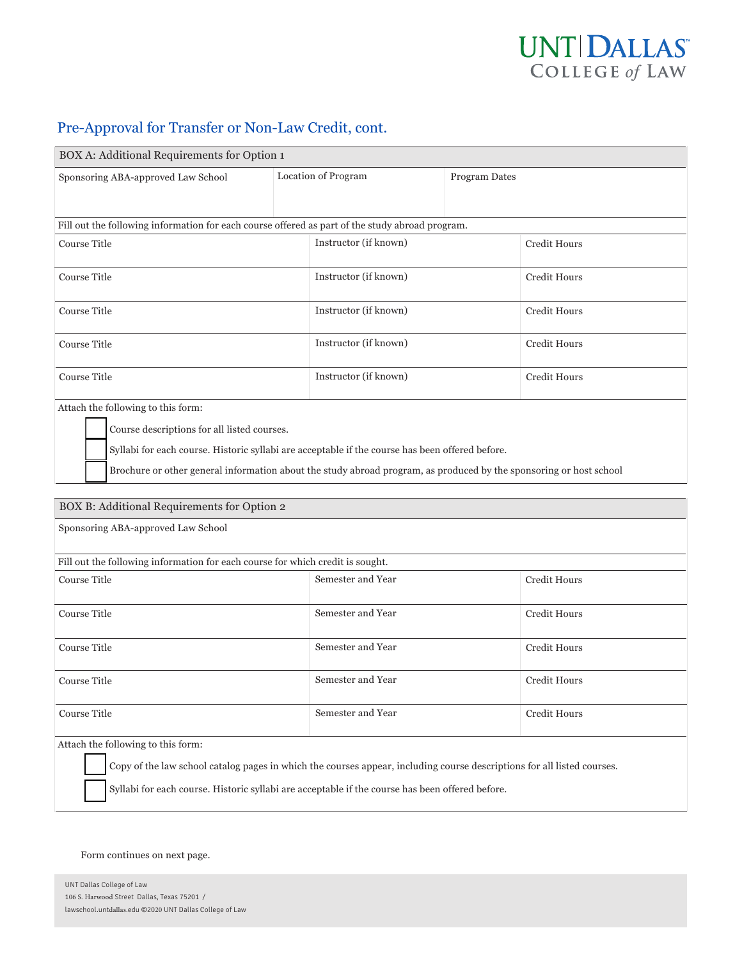

### Pre-Approval for Transfer or Non-Law Credit, cont.

| BOX A: Additional Requirements for Option 1                                                     |                       |                                                                                                                    |  |  |  |
|-------------------------------------------------------------------------------------------------|-----------------------|--------------------------------------------------------------------------------------------------------------------|--|--|--|
| Sponsoring ABA-approved Law School                                                              | Location of Program   | Program Dates                                                                                                      |  |  |  |
|                                                                                                 |                       |                                                                                                                    |  |  |  |
| Fill out the following information for each course offered as part of the study abroad program. |                       |                                                                                                                    |  |  |  |
| Course Title                                                                                    | Instructor (if known) | Credit Hours                                                                                                       |  |  |  |
| <b>Course Title</b>                                                                             | Instructor (if known) | Credit Hours                                                                                                       |  |  |  |
| <b>Course Title</b>                                                                             | Instructor (if known) | <b>Credit Hours</b>                                                                                                |  |  |  |
| <b>Course Title</b>                                                                             | Instructor (if known) | Credit Hours                                                                                                       |  |  |  |
| Course Title                                                                                    | Instructor (if known) | <b>Credit Hours</b>                                                                                                |  |  |  |
| Attach the following to this form:                                                              |                       |                                                                                                                    |  |  |  |
| Course descriptions for all listed courses.                                                     |                       |                                                                                                                    |  |  |  |
| Syllabi for each course. Historic syllabi are acceptable if the course has been offered before. |                       |                                                                                                                    |  |  |  |
|                                                                                                 |                       | Brochure or other general information about the study abroad program, as produced by the sponsoring or host school |  |  |  |
| BOX B: Additional Requirements for Option 2                                                     |                       |                                                                                                                    |  |  |  |
| Sponsoring ABA-approved Law School                                                              |                       |                                                                                                                    |  |  |  |
| Fill out the following information for each course for which credit is sought.                  |                       |                                                                                                                    |  |  |  |
| <b>Course Title</b>                                                                             | Semester and Year     | Credit Hours                                                                                                       |  |  |  |
| Course Title                                                                                    | Semester and Year     | <b>Credit Hours</b>                                                                                                |  |  |  |
| <b>Course Title</b>                                                                             | Semester and Year     | Credit Hours                                                                                                       |  |  |  |
| <b>Course Title</b>                                                                             | Semester and Year     | <b>Credit Hours</b>                                                                                                |  |  |  |
| <b>Course Title</b>                                                                             | Semester and Year     | Credit Hours                                                                                                       |  |  |  |

Attach the following to this form:

Copy of the law school catalog pages in which the courses appear, including course descriptions for all listed courses.

Syllabi for each course. Historic syllabi are acceptable if the course has been offered before.

#### Form continues on next page.